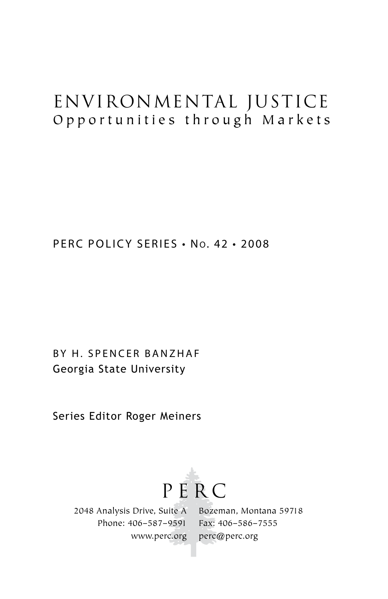# Environmental Justice Opportunities through Markets

PERC POLICY SERIES • No. 42 • 2008

BY H. SPENCER BANZHAF Georgia State University

Series Editor Roger Meiners



2048 Analysis Drive, Suite A Phone: 406–587–9591 www.perc.org

Bozeman, Montana 59718 Fax: 406–586–7555 perc@perc.org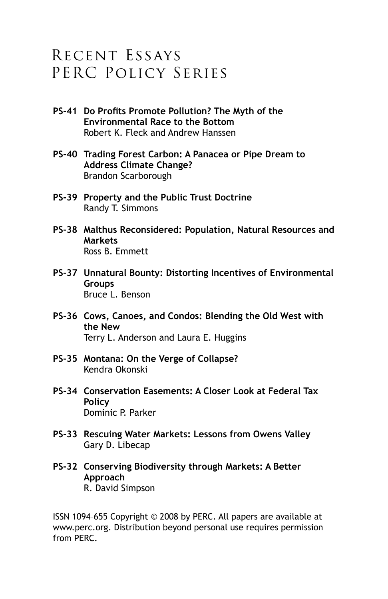## Recent Essays PERC Policy Series

- **PS-41 Do Profits Promote Pollution? The Myth of the Environmental Race to the Bottom** Robert K. Fleck and Andrew Hanssen
- **PS-40 Trading Forest Carbon: A Panacea or Pipe Dream to Address Climate Change?** Brandon Scarborough
- **PS-39 Property and the Public Trust Doctrine** Randy T. Simmons
- **PS-38 Malthus Reconsidered: Population, Natural Resources and Markets** Ross B. Emmett
- **PS-37 Unnatural Bounty: Distorting Incentives of Environmental Groups** Bruce L. Benson
- **PS-36 Cows, Canoes, and Condos: Blending the Old West with the New** Terry L. Anderson and Laura E. Huggins
- **PS-35 Montana: On the Verge of Collapse?** Kendra Okonski
- **PS-34 Conservation Easements: A Closer Look at Federal Tax Policy** Dominic P. Parker
- **PS-33 Rescuing Water Markets: Lessons from Owens Valley** Gary D. Libecap
- **PS-32 Conserving Biodiversity through Markets: A Better Approach** R. David Simpson

ISSN 1094–655 Copyright © 2008 by PERC. All papers are available at www.perc.org. Distribution beyond personal use requires permission from PERC.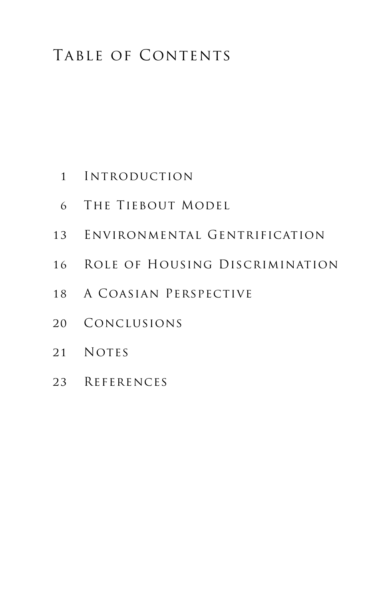# TABLE OF CONTENTS

- 01 Introduction
- 06 The Tiebout Model
- 13 Environmental Gentrification
- 16 Role of Housing Discrimination
- 18 A Coasian Perspective
- 20 Conclusions
- 21 NOTES
- 23 References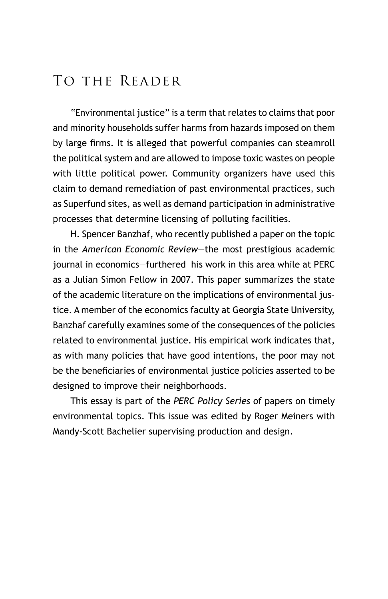## To the Reader

"Environmental justice" is a term that relates to claims that poor and minority households suffer harms from hazards imposed on them by large firms. It is alleged that powerful companies can steamroll the political system and are allowed to impose toxic wastes on people with little political power. Community organizers have used this claim to demand remediation of past environmental practices, such as Superfund sites, as well as demand participation in administrative processes that determine licensing of polluting facilities.

H. Spencer Banzhaf, who recently published a paper on the topic in the *American Economic Review*—the most prestigious academic journal in economics—furthered his work in this area while at PERC as a Julian Simon Fellow in 2007. This paper summarizes the state of the academic literature on the implications of environmental justice. A member of the economics faculty at Georgia State University, Banzhaf carefully examines some of the consequences of the policies related to environmental justice. His empirical work indicates that, as with many policies that have good intentions, the poor may not be the beneficiaries of environmental justice policies asserted to be designed to improve their neighborhoods.

This essay is part of the *PERC Policy Series* of papers on timely environmental topics. This issue was edited by Roger Meiners with Mandy-Scott Bachelier supervising production and design.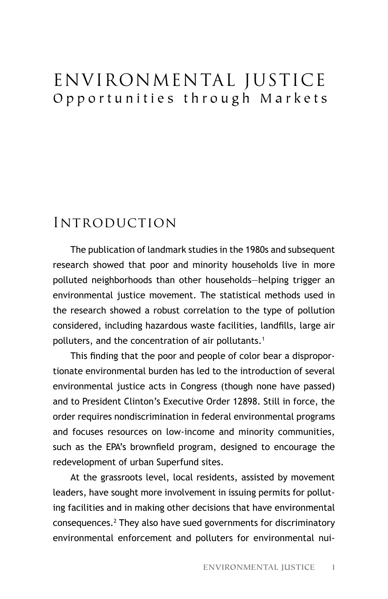# Environmental Justice Opportunities through Markets

### Introduction

The publication of landmark studies in the 1980s and subsequent research showed that poor and minority households live in more polluted neighborhoods than other households—helping trigger an environmental justice movement. The statistical methods used in the research showed a robust correlation to the type of pollution considered, including hazardous waste facilities, landfills, large air polluters, and the concentration of air pollutants.<sup>1</sup>

This finding that the poor and people of color bear a disproportionate environmental burden has led to the introduction of several environmental justice acts in Congress (though none have passed) and to President Clinton's Executive Order 12898. Still in force, the order requires nondiscrimination in federal environmental programs and focuses resources on low-income and minority communities, such as the EPA's brownfield program, designed to encourage the redevelopment of urban Superfund sites.

At the grassroots level, local residents, assisted by movement leaders, have sought more involvement in issuing permits for polluting facilities and in making other decisions that have environmental consequences.2 They also have sued governments for discriminatory environmental enforcement and polluters for environmental nui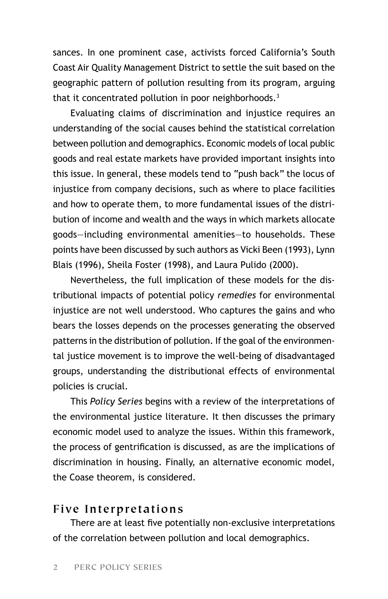sances. In one prominent case, activists forced California's South Coast Air Quality Management District to settle the suit based on the geographic pattern of pollution resulting from its program, arguing that it concentrated pollution in poor neighborhoods.<sup>3</sup>

Evaluating claims of discrimination and injustice requires an understanding of the social causes behind the statistical correlation between pollution and demographics. Economic models of local public goods and real estate markets have provided important insights into this issue. In general, these models tend to "push back" the locus of injustice from company decisions, such as where to place facilities and how to operate them, to more fundamental issues of the distribution of income and wealth and the ways in which markets allocate goods—including environmental amenities—to households. These points have been discussed by such authors as Vicki Been (1993), Lynn Blais (1996), Sheila Foster (1998), and Laura Pulido (2000).

Nevertheless, the full implication of these models for the distributional impacts of potential policy *remedies* for environmental injustice are not well understood. Who captures the gains and who bears the losses depends on the processes generating the observed patterns in the distribution of pollution. If the goal of the environmental justice movement is to improve the well-being of disadvantaged groups, understanding the distributional effects of environmental policies is crucial.

This *Policy Series* begins with a review of the interpretations of the environmental justice literature. It then discusses the primary economic model used to analyze the issues. Within this framework, the process of gentrification is discussed, as are the implications of discrimination in housing. Finally, an alternative economic model, the Coase theorem, is considered.

#### **Five Interpretations**

There are at least five potentially non-exclusive interpretations of the correlation between pollution and local demographics.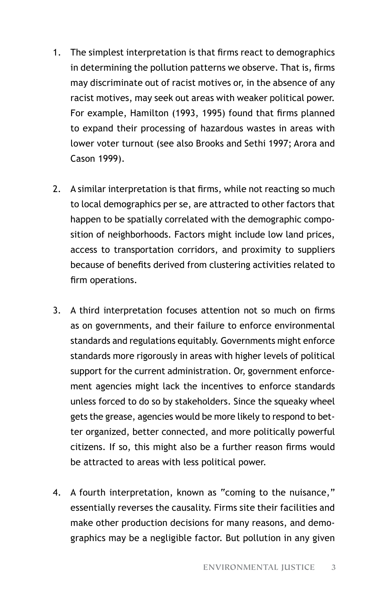- 1. The simplest interpretation is that firms react to demographics in determining the pollution patterns we observe. That is, firms may discriminate out of racist motives or, in the absence of any racist motives, may seek out areas with weaker political power. For example, Hamilton (1993, 1995) found that firms planned to expand their processing of hazardous wastes in areas with lower voter turnout (see also Brooks and Sethi 1997; Arora and Cason 1999).
- 2. A similar interpretation is that firms, while not reacting so much to local demographics per se, are attracted to other factors that happen to be spatially correlated with the demographic composition of neighborhoods. Factors might include low land prices, access to transportation corridors, and proximity to suppliers because of benefits derived from clustering activities related to firm operations.
- 3. A third interpretation focuses attention not so much on firms as on governments, and their failure to enforce environmental standards and regulations equitably. Governments might enforce standards more rigorously in areas with higher levels of political support for the current administration. Or, government enforcement agencies might lack the incentives to enforce standards unless forced to do so by stakeholders. Since the squeaky wheel gets the grease, agencies would be more likely to respond to better organized, better connected, and more politically powerful citizens. If so, this might also be a further reason firms would be attracted to areas with less political power.
- 4. A fourth interpretation, known as "coming to the nuisance," essentially reverses the causality. Firms site their facilities and make other production decisions for many reasons, and demographics may be a negligible factor. But pollution in any given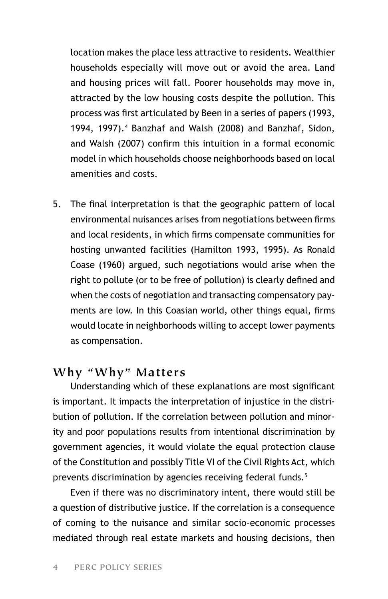location makes the place less attractive to residents. Wealthier households especially will move out or avoid the area. Land and housing prices will fall. Poorer households may move in, attracted by the low housing costs despite the pollution. This process was first articulated by Been in a series of papers (1993, 1994, 1997).4 Banzhaf and Walsh (2008) and Banzhaf, Sidon, and Walsh (2007) confirm this intuition in a formal economic model in which households choose neighborhoods based on local amenities and costs.

5. The final interpretation is that the geographic pattern of local environmental nuisances arises from negotiations between firms and local residents, in which firms compensate communities for hosting unwanted facilities (Hamilton 1993, 1995). As Ronald Coase (1960) argued, such negotiations would arise when the right to pollute (or to be free of pollution) is clearly defined and when the costs of negotiation and transacting compensatory payments are low. In this Coasian world, other things equal, firms would locate in neighborhoods willing to accept lower payments as compensation.

#### **Why "Why" Matters**

Understanding which of these explanations are most significant is important. It impacts the interpretation of injustice in the distribution of pollution. If the correlation between pollution and minority and poor populations results from intentional discrimination by government agencies, it would violate the equal protection clause of the Constitution and possibly Title VI of the Civil Rights Act, which prevents discrimination by agencies receiving federal funds.<sup>5</sup>

Even if there was no discriminatory intent, there would still be a question of distributive justice. If the correlation is a consequence of coming to the nuisance and similar socio-economic processes mediated through real estate markets and housing decisions, then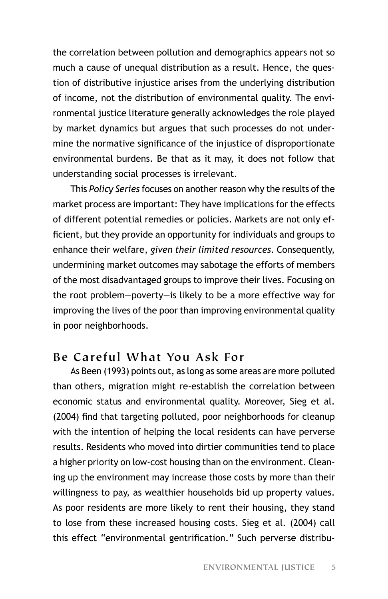the correlation between pollution and demographics appears not so much a cause of unequal distribution as a result. Hence, the question of distributive injustice arises from the underlying distribution of income, not the distribution of environmental quality. The environmental justice literature generally acknowledges the role played by market dynamics but argues that such processes do not undermine the normative significance of the injustice of disproportionate environmental burdens. Be that as it may, it does not follow that understanding social processes is irrelevant.

This *Policy Series* focuses on another reason why the results of the market process are important: They have implications for the effects of different potential remedies or policies. Markets are not only efficient, but they provide an opportunity for individuals and groups to enhance their welfare, *given their limited resources*. Consequently, undermining market outcomes may sabotage the efforts of members of the most disadvantaged groups to improve their lives. Focusing on the root problem—poverty—is likely to be a more effective way for improving the lives of the poor than improving environmental quality in poor neighborhoods.

#### **Be Careful What You Ask For**

As Been (1993) points out, as long as some areas are more polluted than others, migration might re-establish the correlation between economic status and environmental quality. Moreover, Sieg et al. (2004) find that targeting polluted, poor neighborhoods for cleanup with the intention of helping the local residents can have perverse results. Residents who moved into dirtier communities tend to place a higher priority on low-cost housing than on the environment. Cleaning up the environment may increase those costs by more than their willingness to pay, as wealthier households bid up property values. As poor residents are more likely to rent their housing, they stand to lose from these increased housing costs. Sieg et al. (2004) call this effect "environmental gentrification." Such perverse distribu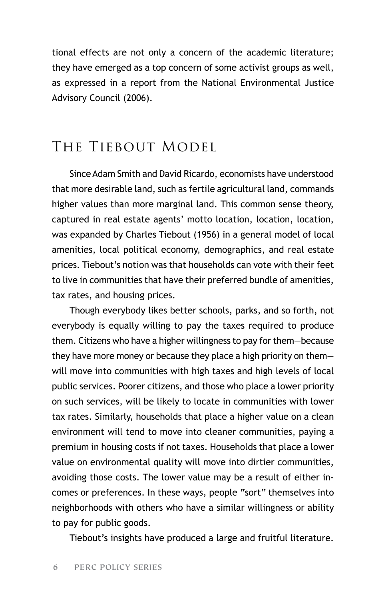tional effects are not only a concern of the academic literature; they have emerged as a top concern of some activist groups as well, as expressed in a report from the National Environmental Justice Advisory Council (2006).

## THE TIEBOUT MODEL

Since Adam Smith and David Ricardo, economists have understood that more desirable land, such as fertile agricultural land, commands higher values than more marginal land. This common sense theory, captured in real estate agents' motto location, location, location, was expanded by Charles Tiebout (1956) in a general model of local amenities, local political economy, demographics, and real estate prices. Tiebout's notion was that households can vote with their feet to live in communities that have their preferred bundle of amenities, tax rates, and housing prices.

Though everybody likes better schools, parks, and so forth, not everybody is equally willing to pay the taxes required to produce them. Citizens who have a higher willingness to pay for them—because they have more money or because they place a high priority on them will move into communities with high taxes and high levels of local public services. Poorer citizens, and those who place a lower priority on such services, will be likely to locate in communities with lower tax rates. Similarly, households that place a higher value on a clean environment will tend to move into cleaner communities, paying a premium in housing costs if not taxes. Households that place a lower value on environmental quality will move into dirtier communities, avoiding those costs. The lower value may be a result of either incomes or preferences. In these ways, people "sort" themselves into neighborhoods with others who have a similar willingness or ability to pay for public goods.

Tiebout's insights have produced a large and fruitful literature.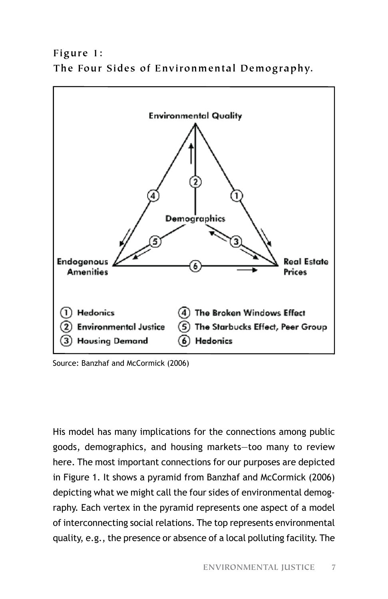**Figure 1: The Four Sides of Environmental Demography.**



Source: Banzhaf and McCormick (2006)

His model has many implications for the connections among public goods, demographics, and housing markets—too many to review here. The most important connections for our purposes are depicted in Figure 1. It shows a pyramid from Banzhaf and McCormick (2006) depicting what we might call the four sides of environmental demography. Each vertex in the pyramid represents one aspect of a model of interconnecting social relations. The top represents environmental quality, e.g., the presence or absence of a local polluting facility. The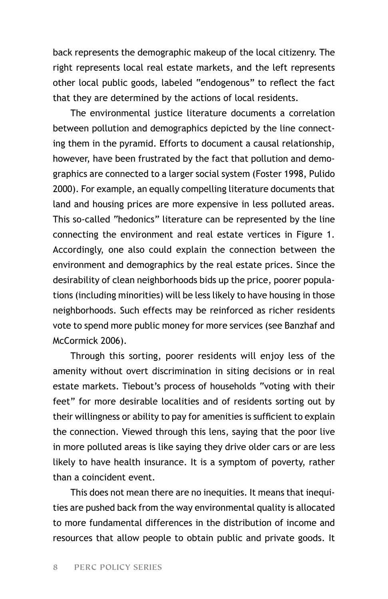back represents the demographic makeup of the local citizenry. The right represents local real estate markets, and the left represents other local public goods, labeled "endogenous" to reflect the fact that they are determined by the actions of local residents.

The environmental justice literature documents a correlation between pollution and demographics depicted by the line connecting them in the pyramid. Efforts to document a causal relationship, however, have been frustrated by the fact that pollution and demographics are connected to a larger social system (Foster 1998, Pulido 2000). For example, an equally compelling literature documents that land and housing prices are more expensive in less polluted areas. This so-called "hedonics" literature can be represented by the line connecting the environment and real estate vertices in Figure 1. Accordingly, one also could explain the connection between the environment and demographics by the real estate prices. Since the desirability of clean neighborhoods bids up the price, poorer populations (including minorities) will be less likely to have housing in those neighborhoods. Such effects may be reinforced as richer residents vote to spend more public money for more services (see Banzhaf and McCormick 2006).

Through this sorting, poorer residents will enjoy less of the amenity without overt discrimination in siting decisions or in real estate markets. Tiebout's process of households "voting with their feet" for more desirable localities and of residents sorting out by their willingness or ability to pay for amenities is sufficient to explain the connection. Viewed through this lens, saying that the poor live in more polluted areas is like saying they drive older cars or are less likely to have health insurance. It is a symptom of poverty, rather than a coincident event.

This does not mean there are no inequities. It means that inequities are pushed back from the way environmental quality is allocated to more fundamental differences in the distribution of income and resources that allow people to obtain public and private goods. It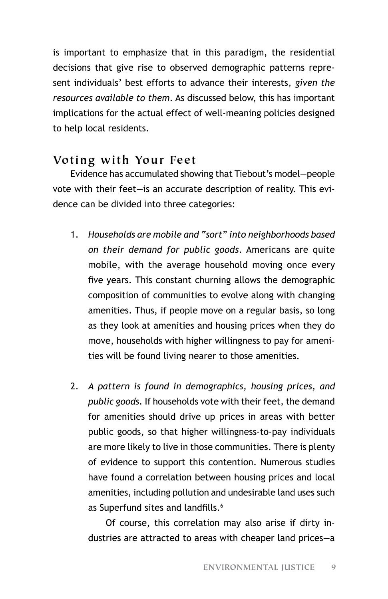is important to emphasize that in this paradigm, the residential decisions that give rise to observed demographic patterns represent individuals' best efforts to advance their interests, *given the resources available to them*. As discussed below, this has important implications for the actual effect of well-meaning policies designed to help local residents.

#### **Voting with Your Feet**

Evidence has accumulated showing that Tiebout's model—people vote with their feet—is an accurate description of reality. This evidence can be divided into three categories:

- 1. *Households are mobile and "sort" into neighborhoods based on their demand for public goods*. Americans are quite mobile, with the average household moving once every five years. This constant churning allows the demographic composition of communities to evolve along with changing amenities. Thus, if people move on a regular basis, so long as they look at amenities and housing prices when they do move, households with higher willingness to pay for amenities will be found living nearer to those amenities.
- 2. *A pattern is found in demographics, housing prices, and public goods.* If households vote with their feet, the demand for amenities should drive up prices in areas with better public goods, so that higher willingness-to-pay individuals are more likely to live in those communities. There is plenty of evidence to support this contention. Numerous studies have found a correlation between housing prices and local amenities, including pollution and undesirable land uses such as Superfund sites and landfills.<sup>6</sup>

Of course, this correlation may also arise if dirty industries are attracted to areas with cheaper land prices—a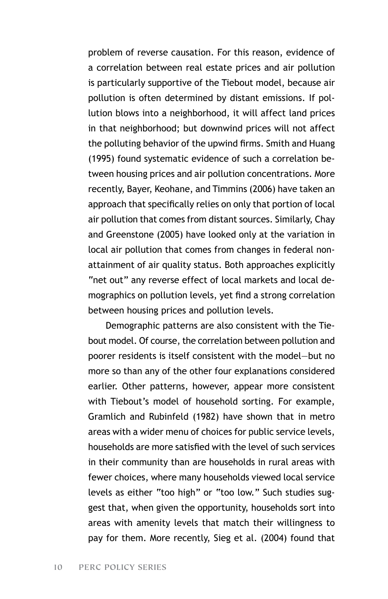problem of reverse causation. For this reason, evidence of a correlation between real estate prices and air pollution is particularly supportive of the Tiebout model, because air pollution is often determined by distant emissions. If pollution blows into a neighborhood, it will affect land prices in that neighborhood; but downwind prices will not affect the polluting behavior of the upwind firms. Smith and Huang (1995) found systematic evidence of such a correlation between housing prices and air pollution concentrations. More recently, Bayer, Keohane, and Timmins (2006) have taken an approach that specifically relies on only that portion of local air pollution that comes from distant sources. Similarly, Chay and Greenstone (2005) have looked only at the variation in local air pollution that comes from changes in federal nonattainment of air quality status. Both approaches explicitly "net out" any reverse effect of local markets and local demographics on pollution levels, yet find a strong correlation between housing prices and pollution levels.

Demographic patterns are also consistent with the Tiebout model. Of course, the correlation between pollution and poorer residents is itself consistent with the model—but no more so than any of the other four explanations considered earlier. Other patterns, however, appear more consistent with Tiebout's model of household sorting. For example, Gramlich and Rubinfeld (1982) have shown that in metro areas with a wider menu of choices for public service levels, households are more satisfied with the level of such services in their community than are households in rural areas with fewer choices, where many households viewed local service levels as either "too high" or "too low." Such studies suggest that, when given the opportunity, households sort into areas with amenity levels that match their willingness to pay for them. More recently, Sieg et al. (2004) found that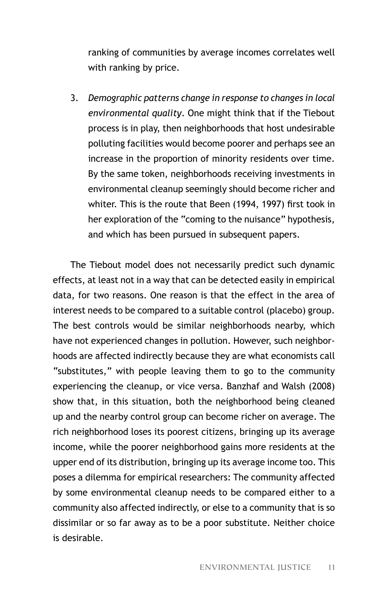ranking of communities by average incomes correlates well with ranking by price.

3. *Demographic patterns change in response to changes in local environmental quality*. One might think that if the Tiebout process is in play, then neighborhoods that host undesirable polluting facilities would become poorer and perhaps see an increase in the proportion of minority residents over time. By the same token, neighborhoods receiving investments in environmental cleanup seemingly should become richer and whiter. This is the route that Been (1994, 1997) first took in her exploration of the "coming to the nuisance" hypothesis, and which has been pursued in subsequent papers.

The Tiebout model does not necessarily predict such dynamic effects, at least not in a way that can be detected easily in empirical data, for two reasons. One reason is that the effect in the area of interest needs to be compared to a suitable control (placebo) group. The best controls would be similar neighborhoods nearby, which have not experienced changes in pollution. However, such neighborhoods are affected indirectly because they are what economists call "substitutes," with people leaving them to go to the community experiencing the cleanup, or vice versa. Banzhaf and Walsh (2008) show that, in this situation, both the neighborhood being cleaned up and the nearby control group can become richer on average. The rich neighborhood loses its poorest citizens, bringing up its average income, while the poorer neighborhood gains more residents at the upper end of its distribution, bringing up its average income too. This poses a dilemma for empirical researchers: The community affected by some environmental cleanup needs to be compared either to a community also affected indirectly, or else to a community that is so dissimilar or so far away as to be a poor substitute. Neither choice is desirable.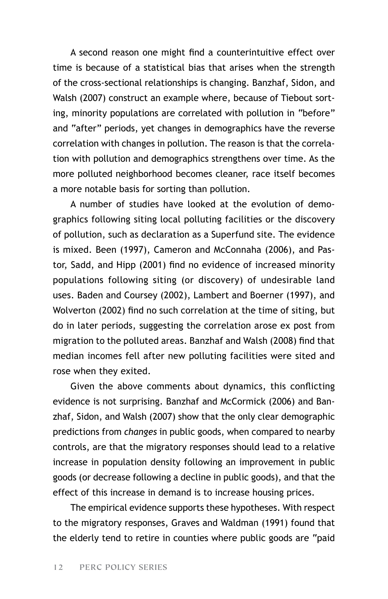A second reason one might find a counterintuitive effect over time is because of a statistical bias that arises when the strength of the cross-sectional relationships is changing. Banzhaf, Sidon, and Walsh (2007) construct an example where, because of Tiebout sorting, minority populations are correlated with pollution in "before" and "after" periods, yet changes in demographics have the reverse correlation with changes in pollution. The reason is that the correlation with pollution and demographics strengthens over time. As the more polluted neighborhood becomes cleaner, race itself becomes a more notable basis for sorting than pollution.

A number of studies have looked at the evolution of demographics following siting local polluting facilities or the discovery of pollution, such as declaration as a Superfund site. The evidence is mixed. Been (1997), Cameron and McConnaha (2006), and Pastor, Sadd, and Hipp (2001) find no evidence of increased minority populations following siting (or discovery) of undesirable land uses. Baden and Coursey (2002), Lambert and Boerner (1997), and Wolverton (2002) find no such correlation at the time of siting, but do in later periods, suggesting the correlation arose ex post from migration to the polluted areas. Banzhaf and Walsh (2008) find that median incomes fell after new polluting facilities were sited and rose when they exited.

Given the above comments about dynamics, this conflicting evidence is not surprising. Banzhaf and McCormick (2006) and Banzhaf, Sidon, and Walsh (2007) show that the only clear demographic predictions from *changes* in public goods, when compared to nearby controls, are that the migratory responses should lead to a relative increase in population density following an improvement in public goods (or decrease following a decline in public goods), and that the effect of this increase in demand is to increase housing prices.

The empirical evidence supports these hypotheses. With respect to the migratory responses, Graves and Waldman (1991) found that the elderly tend to retire in counties where public goods are "paid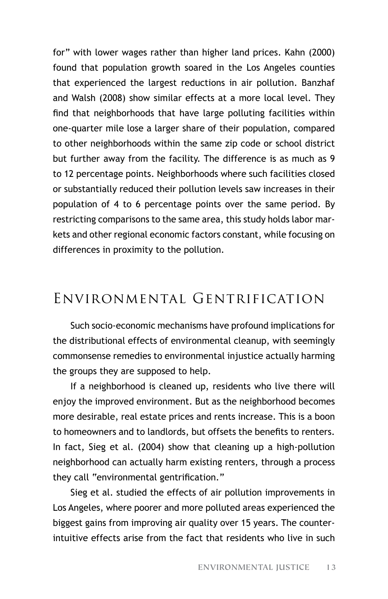for" with lower wages rather than higher land prices. Kahn (2000) found that population growth soared in the Los Angeles counties that experienced the largest reductions in air pollution. Banzhaf and Walsh (2008) show similar effects at a more local level. They find that neighborhoods that have large polluting facilities within one-quarter mile lose a larger share of their population, compared to other neighborhoods within the same zip code or school district but further away from the facility. The difference is as much as 9 to 12 percentage points. Neighborhoods where such facilities closed or substantially reduced their pollution levels saw increases in their population of 4 to 6 percentage points over the same period. By restricting comparisons to the same area, this study holds labor markets and other regional economic factors constant, while focusing on differences in proximity to the pollution.

## Environmental Gentrification

Such socio-economic mechanisms have profound implications for the distributional effects of environmental cleanup, with seemingly commonsense remedies to environmental injustice actually harming the groups they are supposed to help.

If a neighborhood is cleaned up, residents who live there will enjoy the improved environment. But as the neighborhood becomes more desirable, real estate prices and rents increase. This is a boon to homeowners and to landlords, but offsets the benefits to renters. In fact, Sieg et al. (2004) show that cleaning up a high-pollution neighborhood can actually harm existing renters, through a process they call "environmental gentrification."

Sieg et al. studied the effects of air pollution improvements in Los Angeles, where poorer and more polluted areas experienced the biggest gains from improving air quality over 15 years. The counterintuitive effects arise from the fact that residents who live in such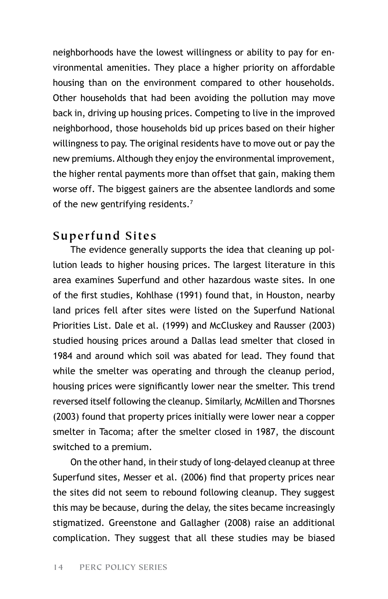neighborhoods have the lowest willingness or ability to pay for environmental amenities. They place a higher priority on affordable housing than on the environment compared to other households. Other households that had been avoiding the pollution may move back in, driving up housing prices. Competing to live in the improved neighborhood, those households bid up prices based on their higher willingness to pay. The original residents have to move out or pay the new premiums. Although they enjoy the environmental improvement, the higher rental payments more than offset that gain, making them worse off. The biggest gainers are the absentee landlords and some of the new gentrifying residents.<sup>7</sup>

#### **Superfund Sites**

The evidence generally supports the idea that cleaning up pollution leads to higher housing prices. The largest literature in this area examines Superfund and other hazardous waste sites. In one of the first studies, Kohlhase (1991) found that, in Houston, nearby land prices fell after sites were listed on the Superfund National Priorities List. Dale et al. (1999) and McCluskey and Rausser (2003) studied housing prices around a Dallas lead smelter that closed in 1984 and around which soil was abated for lead. They found that while the smelter was operating and through the cleanup period, housing prices were significantly lower near the smelter. This trend reversed itself following the cleanup. Similarly, McMillen and Thorsnes (2003) found that property prices initially were lower near a copper smelter in Tacoma; after the smelter closed in 1987, the discount switched to a premium.

On the other hand, in their study of long-delayed cleanup at three Superfund sites, Messer et al. (2006) find that property prices near the sites did not seem to rebound following cleanup. They suggest this may be because, during the delay, the sites became increasingly stigmatized. Greenstone and Gallagher (2008) raise an additional complication. They suggest that all these studies may be biased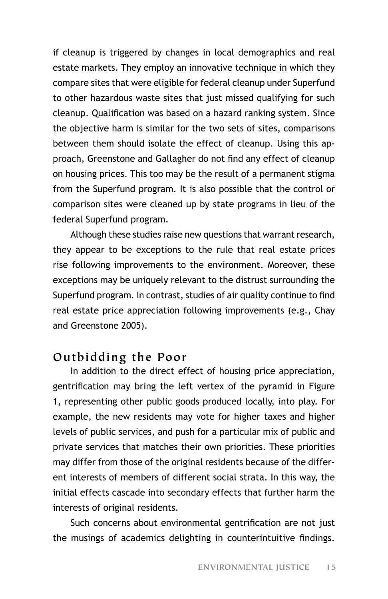if cleanup is triggered by changes in local demographics and real estate markets. They employ an innovative technique in which they compare sites that were eligible for federal cleanup under Superfund to other hazardous waste sites that just missed qualifying for such cleanup. Qualification was based on a hazard ranking system. Since the objective harm is similar for the two sets of sites, comparisons between them should isolate the effect of cleanup. Using this approach, Greenstone and Gallagher do not find any effect of cleanup on housing prices. This too may be the result of a permanent stigma from the Superfund program. It is also possible that the control or comparison sites were cleaned up by state programs in lieu of the federal Superfund program.

Although these studies raise new questions that warrant research, they appear to be exceptions to the rule that real estate prices rise following improvements to the environment. Moreover, these exceptions may be uniquely relevant to the distrust surrounding the Superfund program. In contrast, studies of air quality continue to find real estate price appreciation following improvements (e.g., Chay and Greenstone 2005).

#### **Outbidding the Poor**

In addition to the direct effect of housing price appreciation, gentrification may bring the left vertex of the pyramid in Figure 1, representing other public goods produced locally, into play. For example, the new residents may vote for higher taxes and higher levels of public services, and push for a particular mix of public and private services that matches their own priorities. These priorities may differ from those of the original residents because of the different interests of members of different social strata. In this way, the initial effects cascade into secondary effects that further harm the interests of original residents.

Such concerns about environmental gentrification are not just the musings of academics delighting in counterintuitive findings.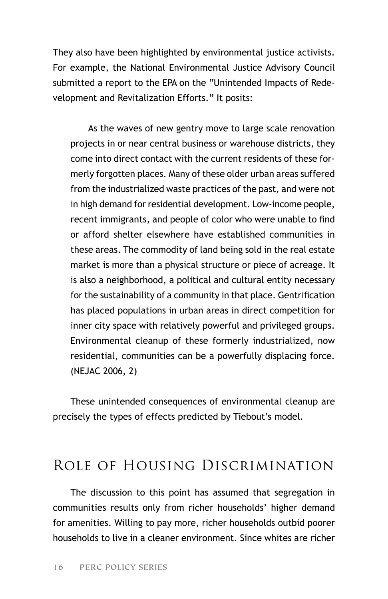They also have been highlighted by environmental justice activists. For example, the National Environmental Justice Advisory Council submitted a report to the EPA on the "Unintended Impacts of Redevelopment and Revitalization Efforts." It posits:

As the waves of new gentry move to large scale renovation projects in or near central business or warehouse districts, they come into direct contact with the current residents of these formerly forgotten places. Many of these older urban areas suffered from the industrialized waste practices of the past, and were not in high demand for residential development. Low-income people, recent immigrants, and people of color who were unable to find or afford shelter elsewhere have established communities in these areas. The commodity of land being sold in the real estate market is more than a physical structure or piece of acreage. It is also a neighborhood, a political and cultural entity necessary for the sustainability of a community in that place. Gentrification has placed populations in urban areas in direct competition for inner city space with relatively powerful and privileged groups. Environmental cleanup of these formerly industrialized, now residential, communities can be a powerfully displacing force. (NEJAC 2006, 2)

These unintended consequences of environmental cleanup are precisely the types of effects predicted by Tiebout's model.

## Role of Housing Discrimination

The discussion to this point has assumed that segregation in communities results only from richer households' higher demand for amenities. Willing to pay more, richer households outbid poorer households to live in a cleaner environment. Since whites are richer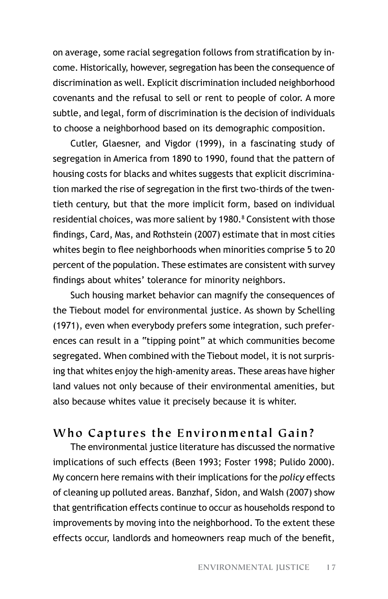on average, some racial segregation follows from stratification by income. Historically, however, segregation has been the consequence of discrimination as well. Explicit discrimination included neighborhood covenants and the refusal to sell or rent to people of color. A more subtle, and legal, form of discrimination is the decision of individuals to choose a neighborhood based on its demographic composition.

Cutler, Glaesner, and Vigdor (1999), in a fascinating study of segregation in America from 1890 to 1990, found that the pattern of housing costs for blacks and whites suggests that explicit discrimination marked the rise of segregation in the first two-thirds of the twentieth century, but that the more implicit form, based on individual residential choices, was more salient by 1980.<sup>8</sup> Consistent with those findings, Card, Mas, and Rothstein (2007) estimate that in most cities whites begin to flee neighborhoods when minorities comprise 5 to 20 percent of the population. These estimates are consistent with survey findings about whites' tolerance for minority neighbors.

Such housing market behavior can magnify the consequences of the Tiebout model for environmental justice. As shown by Schelling (1971), even when everybody prefers some integration, such preferences can result in a "tipping point" at which communities become segregated. When combined with the Tiebout model, it is not surprising that whites enjoy the high-amenity areas. These areas have higher land values not only because of their environmental amenities, but also because whites value it precisely because it is whiter.

### **Who Captures the Environmental Gain?**

The environmental justice literature has discussed the normative implications of such effects (Been 1993; Foster 1998; Pulido 2000). My concern here remains with their implications for the *policy* effects of cleaning up polluted areas. Banzhaf, Sidon, and Walsh (2007) show that gentrification effects continue to occur as households respond to improvements by moving into the neighborhood. To the extent these effects occur, landlords and homeowners reap much of the benefit,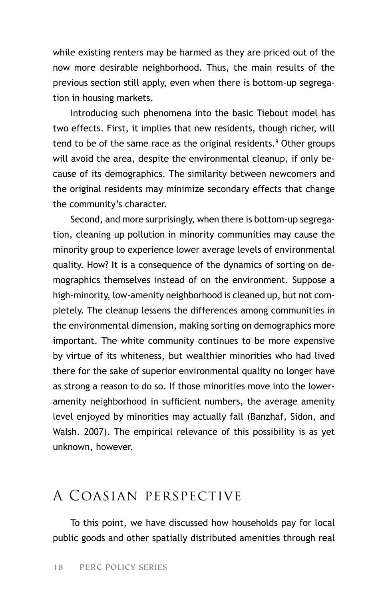while existing renters may be harmed as they are priced out of the now more desirable neighborhood. Thus, the main results of the previous section still apply, even when there is bottom-up segregation in housing markets.

Introducing such phenomena into the basic Tiebout model has two effects. First, it implies that new residents, though richer, will tend to be of the same race as the original residents.<sup>9</sup> Other groups will avoid the area, despite the environmental cleanup, if only because of its demographics. The similarity between newcomers and the original residents may minimize secondary effects that change the community's character.

Second, and more surprisingly, when there is bottom-up segregation, cleaning up pollution in minority communities may cause the minority group to experience lower average levels of environmental quality. How? It is a consequence of the dynamics of sorting on demographics themselves instead of on the environment. Suppose a high-minority, low-amenity neighborhood is cleaned up, but not completely. The cleanup lessens the differences among communities in the environmental dimension, making sorting on demographics more important. The white community continues to be more expensive by virtue of its whiteness, but wealthier minorities who had lived there for the sake of superior environmental quality no longer have as strong a reason to do so. If those minorities move into the loweramenity neighborhood in sufficient numbers, the average amenity level enjoyed by minorities may actually fall (Banzhaf, Sidon, and Walsh. 2007). The empirical relevance of this possibility is as yet unknown, however.

## A Coasian perspective

To this point, we have discussed how households pay for local public goods and other spatially distributed amenities through real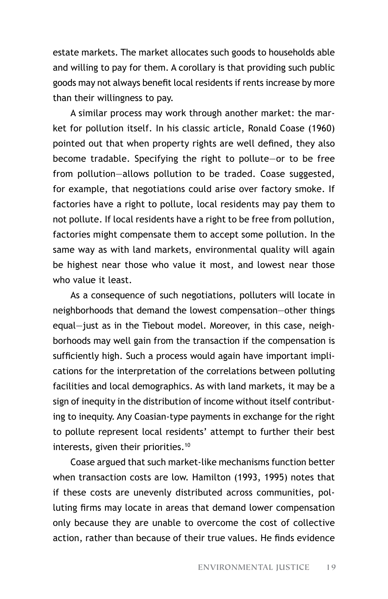estate markets. The market allocates such goods to households able and willing to pay for them. A corollary is that providing such public goods may not always benefit local residents if rents increase by more than their willingness to pay.

A similar process may work through another market: the market for pollution itself. In his classic article, Ronald Coase (1960) pointed out that when property rights are well defined, they also become tradable. Specifying the right to pollute—or to be free from pollution—allows pollution to be traded. Coase suggested, for example, that negotiations could arise over factory smoke. If factories have a right to pollute, local residents may pay them to not pollute. If local residents have a right to be free from pollution, factories might compensate them to accept some pollution. In the same way as with land markets, environmental quality will again be highest near those who value it most, and lowest near those who value it least.

As a consequence of such negotiations, polluters will locate in neighborhoods that demand the lowest compensation—other things equal—just as in the Tiebout model. Moreover, in this case, neighborhoods may well gain from the transaction if the compensation is sufficiently high. Such a process would again have important implications for the interpretation of the correlations between polluting facilities and local demographics. As with land markets, it may be a sign of inequity in the distribution of income without itself contributing to inequity. Any Coasian-type payments in exchange for the right to pollute represent local residents' attempt to further their best interests, given their priorities.<sup>10</sup>

Coase argued that such market-like mechanisms function better when transaction costs are low. Hamilton (1993, 1995) notes that if these costs are unevenly distributed across communities, polluting firms may locate in areas that demand lower compensation only because they are unable to overcome the cost of collective action, rather than because of their true values. He finds evidence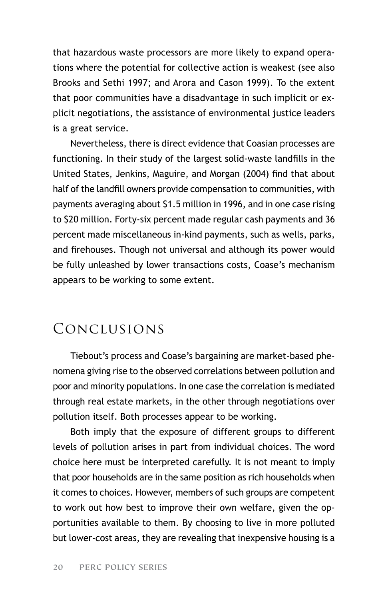that hazardous waste processors are more likely to expand operations where the potential for collective action is weakest (see also Brooks and Sethi 1997; and Arora and Cason 1999). To the extent that poor communities have a disadvantage in such implicit or explicit negotiations, the assistance of environmental justice leaders is a great service.

Nevertheless, there is direct evidence that Coasian processes are functioning. In their study of the largest solid-waste landfills in the United States, Jenkins, Maguire, and Morgan (2004) find that about half of the landfill owners provide compensation to communities, with payments averaging about \$1.5 million in 1996, and in one case rising to \$20 million. Forty-six percent made regular cash payments and 36 percent made miscellaneous in-kind payments, such as wells, parks, and firehouses. Though not universal and although its power would be fully unleashed by lower transactions costs, Coase's mechanism appears to be working to some extent.

## Conclusions

Tiebout's process and Coase's bargaining are market-based phenomena giving rise to the observed correlations between pollution and poor and minority populations. In one case the correlation is mediated through real estate markets, in the other through negotiations over pollution itself. Both processes appear to be working.

Both imply that the exposure of different groups to different levels of pollution arises in part from individual choices. The word choice here must be interpreted carefully. It is not meant to imply that poor households are in the same position as rich households when it comes to choices. However, members of such groups are competent to work out how best to improve their own welfare, given the opportunities available to them. By choosing to live in more polluted but lower-cost areas, they are revealing that inexpensive housing is a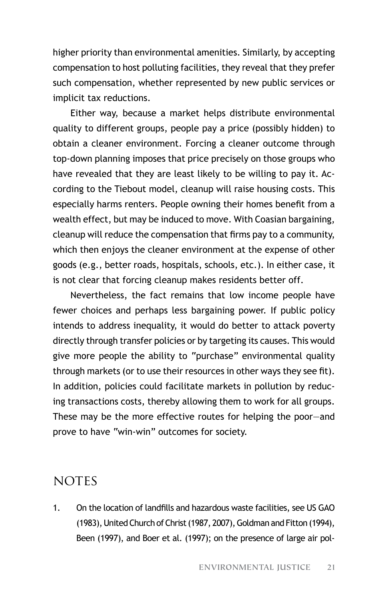higher priority than environmental amenities. Similarly, by accepting compensation to host polluting facilities, they reveal that they prefer such compensation, whether represented by new public services or implicit tax reductions.

Either way, because a market helps distribute environmental quality to different groups, people pay a price (possibly hidden) to obtain a cleaner environment. Forcing a cleaner outcome through top-down planning imposes that price precisely on those groups who have revealed that they are least likely to be willing to pay it. According to the Tiebout model, cleanup will raise housing costs. This especially harms renters. People owning their homes benefit from a wealth effect, but may be induced to move. With Coasian bargaining, cleanup will reduce the compensation that firms pay to a community, which then enjoys the cleaner environment at the expense of other goods (e.g., better roads, hospitals, schools, etc.). In either case, it is not clear that forcing cleanup makes residents better off.

Nevertheless, the fact remains that low income people have fewer choices and perhaps less bargaining power. If public policy intends to address inequality, it would do better to attack poverty directly through transfer policies or by targeting its causes. This would give more people the ability to "purchase" environmental quality through markets (or to use their resources in other ways they see fit). In addition, policies could facilitate markets in pollution by reducing transactions costs, thereby allowing them to work for all groups. These may be the more effective routes for helping the poor—and prove to have "win-win" outcomes for society.

### **NOTES**

1. On the location of landfills and hazardous waste facilities, see US GAO (1983), United Church of Christ (1987, 2007), Goldman and Fitton (1994), Been (1997), and Boer et al. (1997); on the presence of large air pol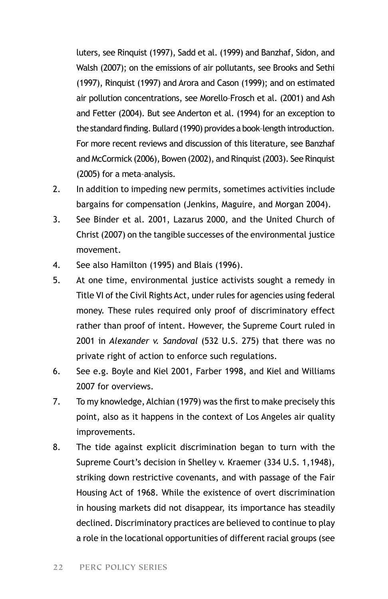luters, see Rinquist (1997), Sadd et al. (1999) and Banzhaf, Sidon, and Walsh (2007); on the emissions of air pollutants, see Brooks and Sethi (1997), Rinquist (1997) and Arora and Cason (1999); and on estimated air pollution concentrations, see Morello–Frosch et al. (2001) and Ash and Fetter (2004). But see Anderton et al. (1994) for an exception to the standard finding. Bullard (1990) provides a book–length introduction. For more recent reviews and discussion of this literature, see Banzhaf and McCormick (2006), Bowen (2002), and Rinquist (2003). See Rinquist (2005) for a meta–analysis.

- 2. In addition to impeding new permits, sometimes activities include bargains for compensation (Jenkins, Maguire, and Morgan 2004).
- 3. See Binder et al. 2001, Lazarus 2000, and the United Church of Christ (2007) on the tangible successes of the environmental justice movement.
- 4. See also Hamilton (1995) and Blais (1996).
- 5. At one time, environmental justice activists sought a remedy in Title VI of the Civil Rights Act, under rules for agencies using federal money. These rules required only proof of discriminatory effect rather than proof of intent. However, the Supreme Court ruled in 2001 in *Alexander v. Sandoval* (532 U.S. 275) that there was no private right of action to enforce such regulations.
- 6. See e.g. Boyle and Kiel 2001, Farber 1998, and Kiel and Williams 2007 for overviews.
- 7. To my knowledge, Alchian (1979) was the first to make precisely this point, also as it happens in the context of Los Angeles air quality improvements.
- 8. The tide against explicit discrimination began to turn with the Supreme Court's decision in Shelley v. Kraemer (334 U.S. 1,1948), striking down restrictive covenants, and with passage of the Fair Housing Act of 1968. While the existence of overt discrimination in housing markets did not disappear, its importance has steadily declined. Discriminatory practices are believed to continue to play a role in the locational opportunities of different racial groups (see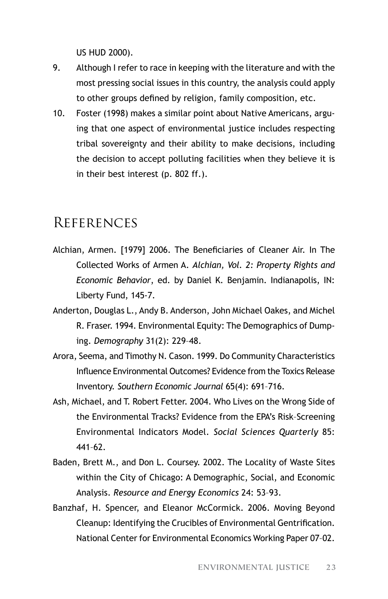US HUD 2000).

- 9. Although I refer to race in keeping with the literature and with the most pressing social issues in this country, the analysis could apply to other groups defined by religion, family composition, etc.
- 10. Foster (1998) makes a similar point about Native Americans, arguing that one aspect of environmental justice includes respecting tribal sovereignty and their ability to make decisions, including the decision to accept polluting facilities when they believe it is in their best interest (p. 802 ff.).

### References

- Alchian, Armen. [1979] 2006. The Beneficiaries of Cleaner Air. In The Collected Works of Armen A. *Alchian, Vol. 2: Property Rights and Economic Behavior*, ed. by Daniel K. Benjamin. Indianapolis, IN: Liberty Fund, 145-7.
- Anderton, Douglas L., Andy B. Anderson, John Michael Oakes, and Michel R. Fraser. 1994. Environmental Equity: The Demographics of Dumping. *Demography* 31(2): 229–48.
- Arora, Seema, and Timothy N. Cason. 1999. Do Community Characteristics Influence Environmental Outcomes? Evidence from the Toxics Release Inventory. *Southern Economic Journal* 65(4): 691–716.
- Ash, Michael, and T. Robert Fetter. 2004. Who Lives on the Wrong Side of the Environmental Tracks? Evidence from the EPA's Risk–Screening Environmental Indicators Model. *Social Sciences Quarterly* 85: 441–62.
- Baden, Brett M., and Don L. Coursey. 2002. The Locality of Waste Sites within the City of Chicago: A Demographic, Social, and Economic Analysis. *Resource and Energy Economics* 24: 53–93.
- Banzhaf, H. Spencer, and Eleanor McCormick. 2006. Moving Beyond Cleanup: Identifying the Crucibles of Environmental Gentrification. National Center for Environmental Economics Working Paper 07–02.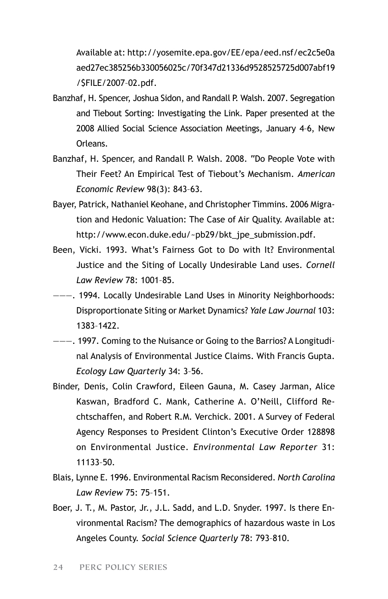Available at: http://yosemite.epa.gov/EE/epa/eed.nsf/ec2c5e0a aed27ec385256b330056025c/70f347d21336d9528525725d007abf19 /\$FILE/2007–02.pdf.

- Banzhaf, H. Spencer, Joshua Sidon, and Randall P. Walsh. 2007. Segregation and Tiebout Sorting: Investigating the Link. Paper presented at the 2008 Allied Social Science Association Meetings, January 4–6, New Orleans.
- Banzhaf, H. Spencer, and Randall P. Walsh. 2008. "Do People Vote with Their Feet? An Empirical Test of Tiebout's Mechanism. *American Economic Review* 98(3): 843–63.
- Bayer, Patrick, Nathaniel Keohane, and Christopher Timmins. 2006 Migration and Hedonic Valuation: The Case of Air Quality. Available at: http://www.econ.duke.edu/~pb29/bkt\_jpe\_submission.pdf.
- Been, Vicki. 1993. What's Fairness Got to Do with It? Environmental Justice and the Siting of Locally Undesirable Land uses. *Cornell Law Review* 78: 1001–85.
- ———. 1994. Locally Undesirable Land Uses in Minority Neighborhoods: Disproportionate Siting or Market Dynamics? *Yale Law Journal* 103: 1383–1422.
- ———. 1997. Coming to the Nuisance or Going to the Barrios? A Longitudinal Analysis of Environmental Justice Claims. With Francis Gupta. *Ecology Law Quarterly* 34: 3–56.
- Binder, Denis, Colin Crawford, Eileen Gauna, M. Casey Jarman, Alice Kaswan, Bradford C. Mank, Catherine A. O'Neill, Clifford Rechtschaffen, and Robert R.M. Verchick. 2001. A Survey of Federal Agency Responses to President Clinton's Executive Order 128898 on Environmental Justice. *Environmental Law Reporter* 31: 11133–50.
- Blais, Lynne E. 1996. Environmental Racism Reconsidered. *North Carolina Law Review* 75: 75–151.
- Boer, J. T., M. Pastor, Jr., J.L. Sadd, and L.D. Snyder. 1997. Is there Environmental Racism? The demographics of hazardous waste in Los Angeles County. *Social Science Quarterly* 78: 793–810.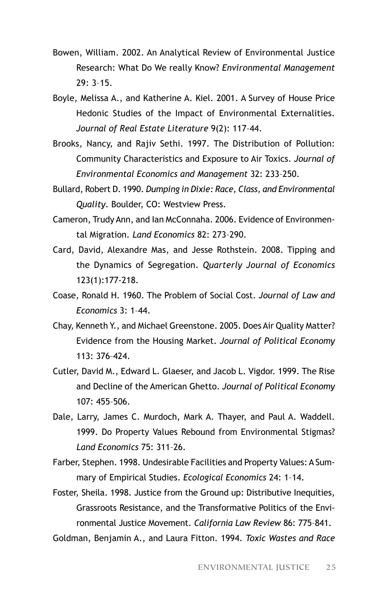- Bowen, William. 2002. An Analytical Review of Environmental Justice Research: What Do We really Know? *Environmental Management*  $29.3 - 15$
- Boyle, Melissa A., and Katherine A. Kiel. 2001. A Survey of House Price Hedonic Studies of the Impact of Environmental Externalities. *Journal of Real Estate Literature* 9(2): 117–44.
- Brooks, Nancy, and Rajiv Sethi. 1997. The Distribution of Pollution: Community Characteristics and Exposure to Air Toxics. *Journal of Environmental Economics and Management* 32: 233–250.
- Bullard, Robert D. 1990. *Dumping in Dixie: Race, Class, and Environmental Quality*. Boulder, CO: Westview Press.
- Cameron, Trudy Ann, and Ian McConnaha. 2006. Evidence of Environmental Migration. *Land Economics* 82: 273–290.
- Card, David, Alexandre Mas, and Jesse Rothstein. 2008. Tipping and the Dynamics of Segregation. *Quarterly Journal of Economics* 123(1):177-218.
- Coase, Ronald H. 1960. The Problem of Social Cost. *Journal of Law and Economics* 3: 1–44.
- Chay, Kenneth Y., and Michael Greenstone. 2005. Does Air Quality Matter? Evidence from the Housing Market. *Journal of Political Economy* 113: 376–424.
- Cutler, David M., Edward L. Glaeser, and Jacob L. Vigdor. 1999. The Rise and Decline of the American Ghetto. *Journal of Political Economy*  $107.455 - 506$
- Dale, Larry, James C. Murdoch, Mark A. Thayer, and Paul A. Waddell. 1999. Do Property Values Rebound from Environmental Stigmas? *Land Economics* 75: 311–26.
- Farber, Stephen. 1998. Undesirable Facilities and Property Values: A Summary of Empirical Studies. *Ecological Economics* 24: 1–14.
- Foster, Sheila. 1998. Justice from the Ground up: Distributive Inequities, Grassroots Resistance, and the Transformative Politics of the Environmental Justice Movement. *California Law Review* 86: 775–841.
- Goldman, Benjamin A., and Laura Fitton. 1994. *Toxic Wastes and Race*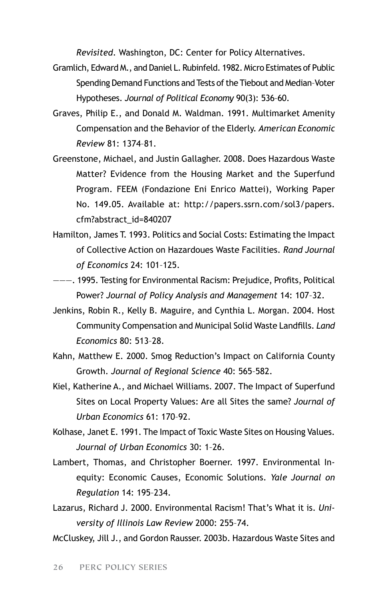*Revisited*. Washington, DC: Center for Policy Alternatives.

- Gramlich, Edward M., and Daniel L. Rubinfeld. 1982. Micro Estimates of Public Spending Demand Functions and Tests of the Tiebout and Median–Voter Hypotheses. *Journal of Political Economy* 90(3): 536–60.
- Graves, Philip E., and Donald M. Waldman. 1991. Multimarket Amenity Compensation and the Behavior of the Elderly. *American Economic Review* 81: 1374–81.
- Greenstone, Michael, and Justin Gallagher. 2008. Does Hazardous Waste Matter? Evidence from the Housing Market and the Superfund Program. FEEM (Fondazione Eni Enrico Mattei), Working Paper No. 149.05. Available at: http://papers.ssrn.com/sol3/papers. cfm?abstract\_id=840207
- Hamilton, James T. 1993. Politics and Social Costs: Estimating the Impact of Collective Action on Hazardoues Waste Facilities. *Rand Journal of Economics* 24: 101–125.
- ———. 1995. Testing for Environmental Racism: Prejudice, Profits, Political Power? *Journal of Policy Analysis and Management* 14: 107–32.
- Jenkins, Robin R., Kelly B. Maguire, and Cynthia L. Morgan. 2004. Host Community Compensation and Municipal Solid Waste Landfills. *Land Economics* 80: 513–28.
- Kahn, Matthew E. 2000. Smog Reduction's Impact on California County Growth. *Journal of Regional Science* 40: 565–582.
- Kiel, Katherine A., and Michael Williams. 2007. The Impact of Superfund Sites on Local Property Values: Are all Sites the same? *Journal of Urban Economics* 61: 170–92.
- Kolhase, Janet E. 1991. The Impact of Toxic Waste Sites on Housing Values. *Journal of Urban Economics* 30: 1–26.
- Lambert, Thomas, and Christopher Boerner. 1997. Environmental Inequity: Economic Causes, Economic Solutions. *Yale Journal on Regulation* 14: 195–234.
- Lazarus, Richard J. 2000. Environmental Racism! That's What it is. *University of Illinois Law Review* 2000: 255–74.
- McCluskey, Jill J., and Gordon Rausser. 2003b. Hazardous Waste Sites and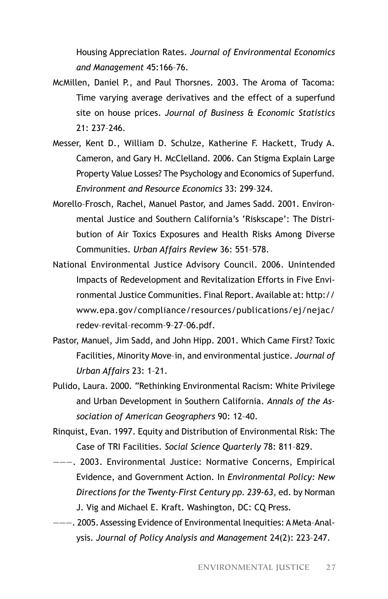Housing Appreciation Rates. *Journal of Environmental Economics and Management* 45:166–76.

- McMillen, Daniel P., and Paul Thorsnes. 2003. The Aroma of Tacoma: Time varying average derivatives and the effect of a superfund site on house prices. *Journal of Business & Economic Statistics*  21: 237–246.
- Messer, Kent D., William D. Schulze, Katherine F. Hackett, Trudy A. Cameron, and Gary H. McClelland. 2006. Can Stigma Explain Large Property Value Losses? The Psychology and Economics of Superfund. *Environment and Resource Economics* 33: 299–324.
- Morello–Frosch, Rachel, Manuel Pastor, and James Sadd. 2001. Environmental Justice and Southern California's 'Riskscape': The Distribution of Air Toxics Exposures and Health Risks Among Diverse Communities. *Urban Affairs Review* 36: 551–578.
- National Environmental Justice Advisory Council. 2006. Unintended Impacts of Redevelopment and Revitalization Efforts in Five Environmental Justice Communities. Final Report. Available at: http:// www.epa.gov/compliance/resources/publications/ej/nejac/ redev–revital–recomm–9–27–06.pdf.
- Pastor, Manuel, Jim Sadd, and John Hipp. 2001. Which Came First? Toxic Facilities, Minority Move–in, and environmental justice. *Journal of Urban Affairs* 23: 1–21.
- Pulido, Laura. 2000. "Rethinking Environmental Racism: White Privilege and Urban Development in Southern California. *Annals of the Association of American Geographers* 90: 12–40.
- Rinquist, Evan. 1997. Equity and Distribution of Environmental Risk: The Case of TRI Facilities. *Social Science Quarterly* 78: 811–829.
- ———. 2003. Environmental Justice: Normative Concerns, Empirical Evidence, and Government Action. In *Environmental Policy: New Directions for the Twenty–First Century pp. 239-63*, ed. by Norman J. Vig and Michael E. Kraft. Washington, DC: CQ Press.
- ———. 2005. Assessing Evidence of Environmental Inequities: A Meta–Analysis. *Journal of Policy Analysis and Management* 24(2): 223–247.